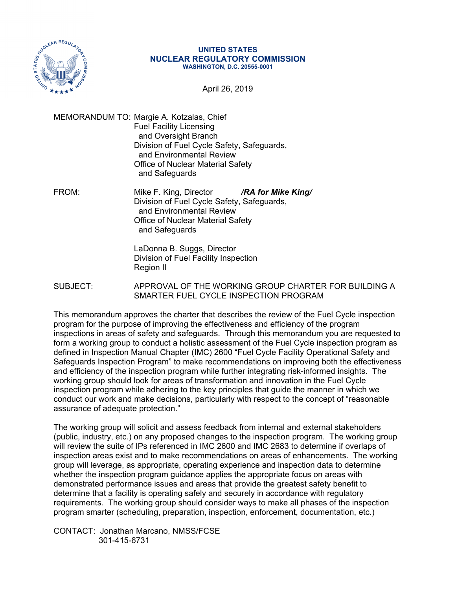

## **UNITED STATES NUCLEAR REGULATORY COMMISSION WASHINGTON, D.C. 20555-0001**

April 26, 2019

MEMORANDUM TO: Margie A. Kotzalas, Chief Fuel Facility Licensing and Oversight Branch Division of Fuel Cycle Safety, Safeguards, and Environmental Review Office of Nuclear Material Safety and Safeguards

FROM: Mike F. King, Director */RA for Mike King/* Division of Fuel Cycle Safety, Safeguards, and Environmental Review Office of Nuclear Material Safety and Safeguards

> LaDonna B. Suggs, Director Division of Fuel Facility Inspection Region II

SUBJECT: APPROVAL OF THE WORKING GROUP CHARTER FOR BUILDING A SMARTER FUEL CYCLE INSPECTION PROGRAM

This memorandum approves the charter that describes the review of the Fuel Cycle inspection program for the purpose of improving the effectiveness and efficiency of the program inspections in areas of safety and safeguards. Through this memorandum you are requested to form a working group to conduct a holistic assessment of the Fuel Cycle inspection program as defined in Inspection Manual Chapter (IMC) 2600 "Fuel Cycle Facility Operational Safety and Safeguards Inspection Program" to make recommendations on improving both the effectiveness and efficiency of the inspection program while further integrating risk-informed insights. The working group should look for areas of transformation and innovation in the Fuel Cycle inspection program while adhering to the key principles that guide the manner in which we conduct our work and make decisions, particularly with respect to the concept of "reasonable assurance of adequate protection."

The working group will solicit and assess feedback from internal and external stakeholders (public, industry, etc.) on any proposed changes to the inspection program. The working group will review the suite of IPs referenced in IMC 2600 and IMC 2683 to determine if overlaps of inspection areas exist and to make recommendations on areas of enhancements. The working group will leverage, as appropriate, operating experience and inspection data to determine whether the inspection program guidance applies the appropriate focus on areas with demonstrated performance issues and areas that provide the greatest safety benefit to determine that a facility is operating safely and securely in accordance with regulatory requirements. The working group should consider ways to make all phases of the inspection program smarter (scheduling, preparation, inspection, enforcement, documentation, etc.)

CONTACT: Jonathan Marcano, NMSS/FCSE 301-415-6731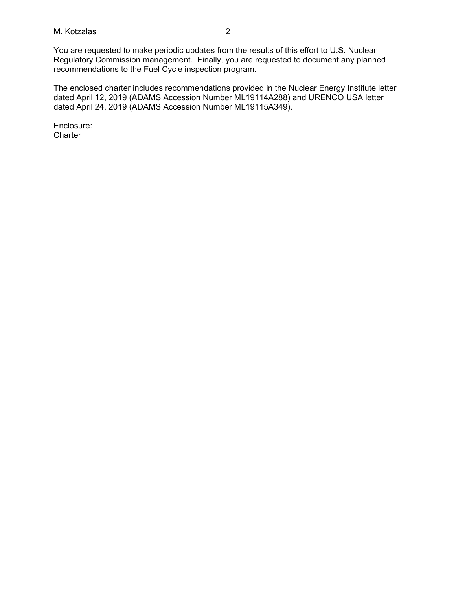## M. Kotzalas 2

You are requested to make periodic updates from the results of this effort to U.S. Nuclear Regulatory Commission management. Finally, you are requested to document any planned recommendations to the Fuel Cycle inspection program.

The enclosed charter includes recommendations provided in the Nuclear Energy Institute letter dated April 12, 2019 (ADAMS Accession Number ML19114A288) and URENCO USA letter dated April 24, 2019 (ADAMS Accession Number ML19115A349).

Enclosure: **Charter**